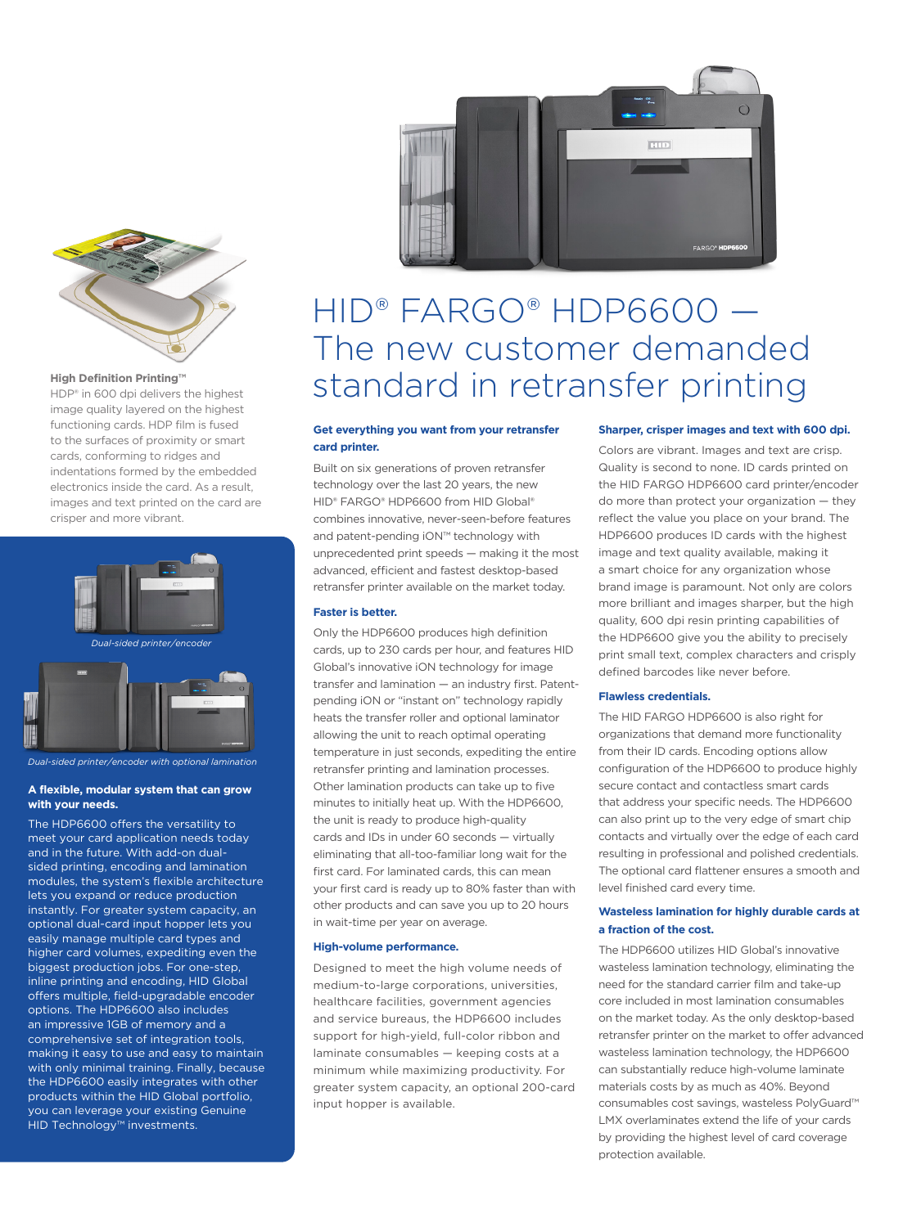

HDP® in 600 dpi delivers the highest image quality layered on the highest functioning cards. HDP film is fused to the surfaces of proximity or smart cards, conforming to ridges and indentations formed by the embedded electronics inside the card. As a result, images and text printed on the card are crisper and more vibrant.



#### **A flexible, modular system that can grow with your needs.**

The HDP6600 offers the versatility to meet your card application needs today and in the future. With add-on dualsided printing, encoding and lamination modules, the system's flexible architecture lets you expand or reduce production instantly. For greater system capacity, an optional dual-card input hopper lets you easily manage multiple card types and higher card volumes, expediting even the biggest production jobs. For one-step, inline printing and encoding, HID Global offers multiple, field-upgradable encoder options. The HDP6600 also includes an impressive 1GB of memory and a comprehensive set of integration tools, making it easy to use and easy to maintain with only minimal training. Finally, because the HDP6600 easily integrates with other products within the HID Global portfolio, you can leverage your existing Genuine HID Technology™ investments.



# HID® FARGO® HDP6600 — The new customer demanded High Definition Printing<sup>™</sup><br>HDP<sup>®</sup> in 600 dpi delivers the highest standard in retransfer printing

## **Get everything you want from your retransfer card printer.**

Built on six generations of proven retransfer technology over the last 20 years, the new HID® FARGO® HDP6600 from HID Global® combines innovative, never-seen-before features and patent-pending iON™ technology with unprecedented print speeds — making it the most advanced, efficient and fastest desktop-based retransfer printer available on the market today.

## **Faster is better.**

Only the HDP6600 produces high definition cards, up to 230 cards per hour, and features HID Global's innovative iON technology for image transfer and lamination — an industry first. Patentpending iON or "instant on" technology rapidly heats the transfer roller and optional laminator allowing the unit to reach optimal operating temperature in just seconds, expediting the entire retransfer printing and lamination processes. Other lamination products can take up to five minutes to initially heat up. With the HDP6600, the unit is ready to produce high-quality cards and IDs in under 60 seconds — virtually eliminating that all-too-familiar long wait for the first card. For laminated cards, this can mean your first card is ready up to 80% faster than with other products and can save you up to 20 hours in wait-time per year on average.

#### **High-volume performance.**

Designed to meet the high volume needs of medium-to-large corporations, universities, healthcare facilities, government agencies and service bureaus, the HDP6600 includes support for high-yield, full-color ribbon and laminate consumables — keeping costs at a minimum while maximizing productivity. For greater system capacity, an optional 200-card input hopper is available.

#### **Sharper, crisper images and text with 600 dpi.**

Colors are vibrant. Images and text are crisp. Quality is second to none. ID cards printed on the HID FARGO HDP6600 card printer/encoder do more than protect your organization — they reflect the value you place on your brand. The HDP6600 produces ID cards with the highest image and text quality available, making it a smart choice for any organization whose brand image is paramount. Not only are colors more brilliant and images sharper, but the high quality, 600 dpi resin printing capabilities of the HDP6600 give you the ability to precisely print small text, complex characters and crisply defined barcodes like never before.

#### **Flawless credentials.**

The HID FARGO HDP6600 is also right for organizations that demand more functionality from their ID cards. Encoding options allow configuration of the HDP6600 to produce highly secure contact and contactless smart cards that address your specific needs. The HDP6600 can also print up to the very edge of smart chip contacts and virtually over the edge of each card resulting in professional and polished credentials. The optional card flattener ensures a smooth and level finished card every time.

#### **Wasteless lamination for highly durable cards at a fraction of the cost.**

The HDP6600 utilizes HID Global's innovative wasteless lamination technology, eliminating the need for the standard carrier film and take-up core included in most lamination consumables on the market today. As the only desktop-based retransfer printer on the market to offer advanced wasteless lamination technology, the HDP6600 can substantially reduce high-volume laminate materials costs by as much as 40%. Beyond consumables cost savings, wasteless PolyGuard™ LMX overlaminates extend the life of your cards by providing the highest level of card coverage protection available.